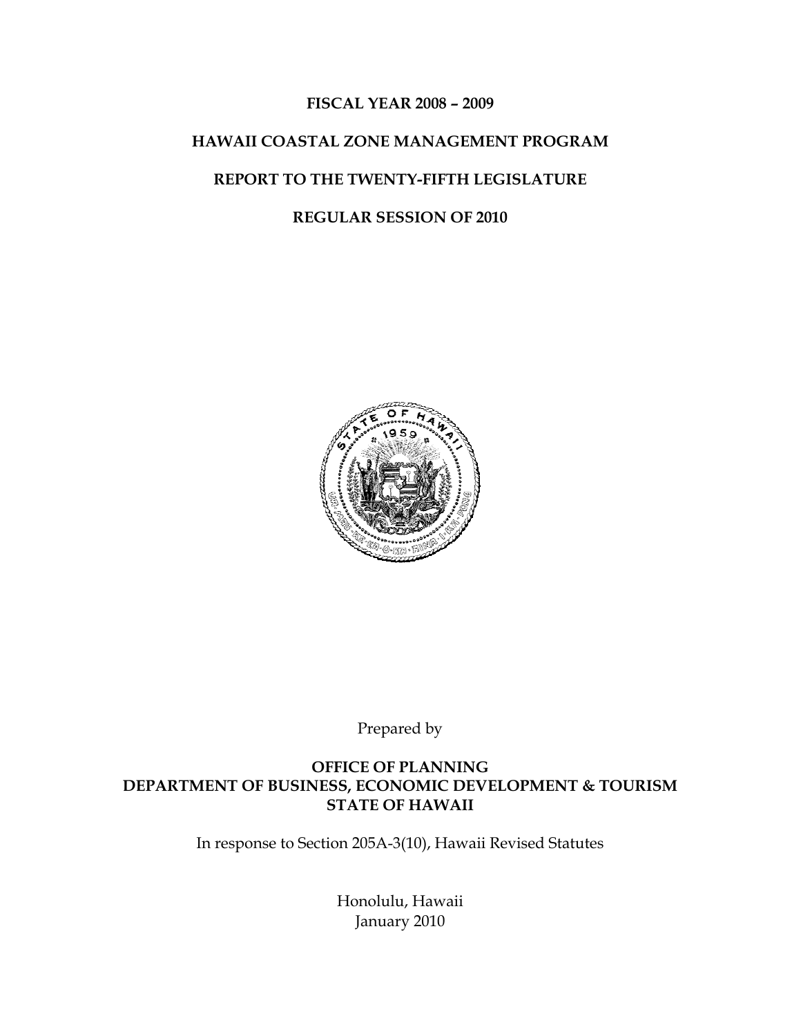#### **FISCAL YEAR 2008 – 2009**

# **HAWAII COASTAL ZONE MANAGEMENT PROGRAM**

#### **REPORT TO THE TWENTY-FIFTH LEGISLATURE**

#### **REGULAR SESSION OF 2010**



Prepared by

**OFFICE OF PLANNING DEPARTMENT OF BUSINESS, ECONOMIC DEVELOPMENT & TOURISM STATE OF HAWAII** 

In response to Section 205A-3(10), Hawaii Revised Statutes

Honolulu, Hawaii January 2010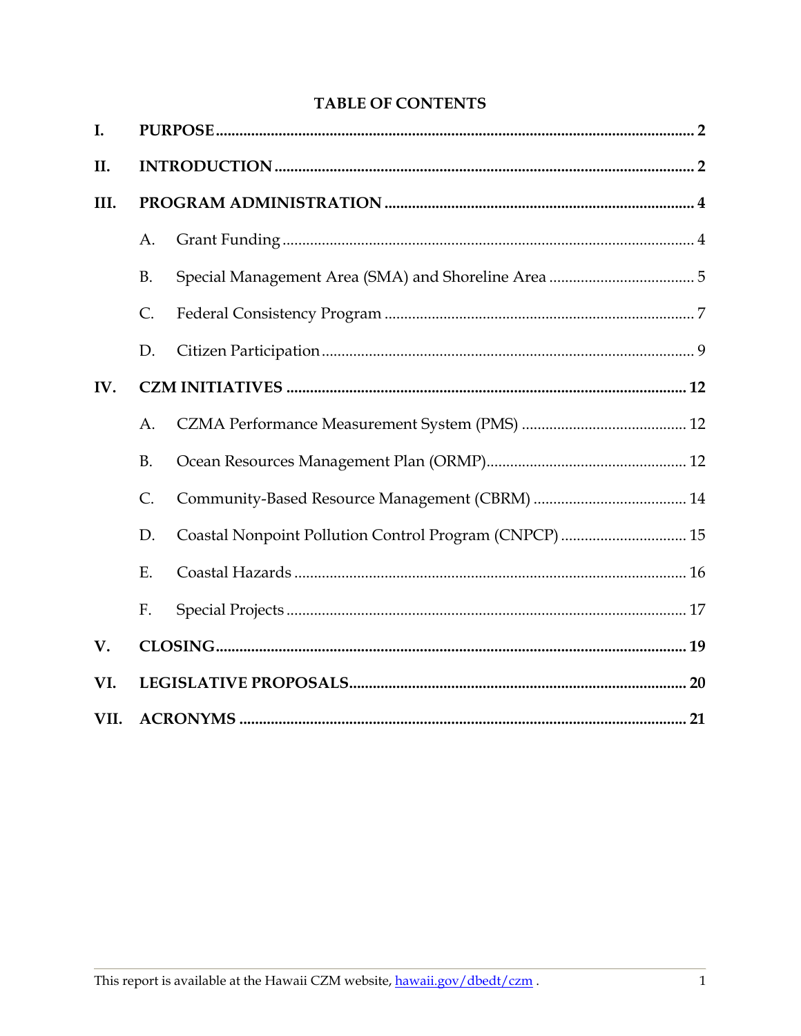# **TABLE OF CONTENTS**

| I.   |               |                                                        |  |
|------|---------------|--------------------------------------------------------|--|
| II.  |               |                                                        |  |
| III. |               |                                                        |  |
|      | A.            |                                                        |  |
|      | <b>B.</b>     |                                                        |  |
|      | $\mathsf{C}.$ |                                                        |  |
|      | D.            |                                                        |  |
| IV.  |               |                                                        |  |
|      | A.            |                                                        |  |
|      | <b>B.</b>     |                                                        |  |
|      | C.            |                                                        |  |
|      | D.            | Coastal Nonpoint Pollution Control Program (CNPCP)  15 |  |
|      | Ε.            |                                                        |  |
|      | F.            |                                                        |  |
| V.   |               |                                                        |  |
| VI.  |               |                                                        |  |
| VII. |               |                                                        |  |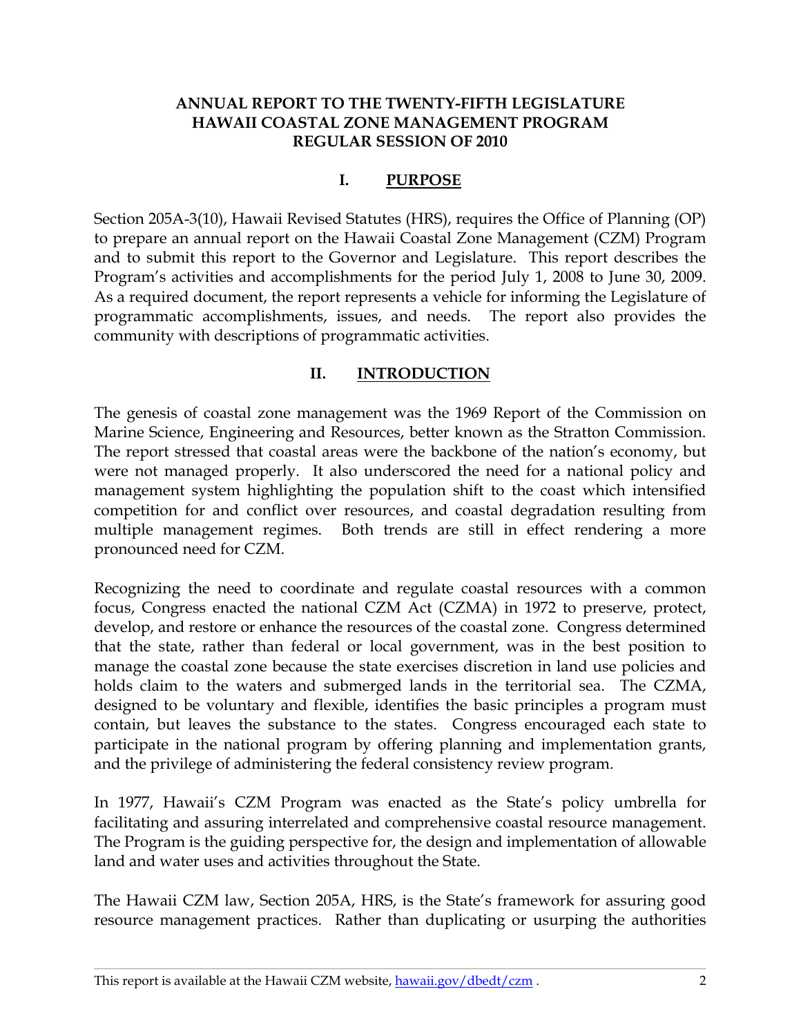#### <span id="page-2-0"></span>**ANNUAL REPORT TO THE TWENTY-FIFTH LEGISLATURE HAWAII COASTAL ZONE MANAGEMENT PROGRAM REGULAR SESSION OF 2010**

## **I. PURPOSE**

Section 205A-3(10), Hawaii Revised Statutes (HRS), requires the Office of Planning (OP) to prepare an annual report on the Hawaii Coastal Zone Management (CZM) Program and to submit this report to the Governor and Legislature. This report describes the Program's activities and accomplishments for the period July 1, 2008 to June 30, 2009. As a required document, the report represents a vehicle for informing the Legislature of programmatic accomplishments, issues, and needs. The report also provides the community with descriptions of programmatic activities.

## **II. INTRODUCTION**

The genesis of coastal zone management was the 1969 Report of the Commission on Marine Science, Engineering and Resources, better known as the Stratton Commission. The report stressed that coastal areas were the backbone of the nation's economy, but were not managed properly. It also underscored the need for a national policy and management system highlighting the population shift to the coast which intensified competition for and conflict over resources, and coastal degradation resulting from multiple management regimes. Both trends are still in effect rendering a more pronounced need for CZM.

Recognizing the need to coordinate and regulate coastal resources with a common focus, Congress enacted the national CZM Act (CZMA) in 1972 to preserve, protect, develop, and restore or enhance the resources of the coastal zone. Congress determined that the state, rather than federal or local government, was in the best position to manage the coastal zone because the state exercises discretion in land use policies and holds claim to the waters and submerged lands in the territorial sea. The CZMA, designed to be voluntary and flexible, identifies the basic principles a program must contain, but leaves the substance to the states. Congress encouraged each state to participate in the national program by offering planning and implementation grants, and the privilege of administering the federal consistency review program.

In 1977, Hawaii's CZM Program was enacted as the State's policy umbrella for facilitating and assuring interrelated and comprehensive coastal resource management. The Program is the guiding perspective for, the design and implementation of allowable land and water uses and activities throughout the State.

The Hawaii CZM law, Section 205A, HRS, is the State's framework for assuring good resource management practices. Rather than duplicating or usurping the authorities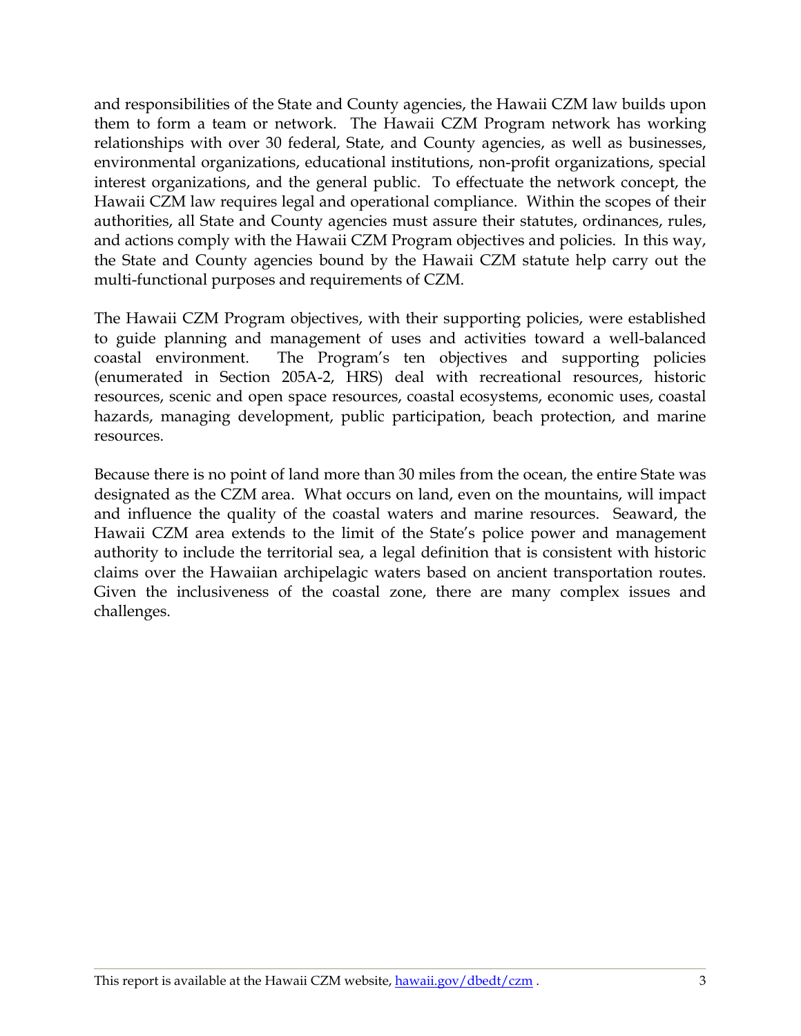and responsibilities of the State and County agencies, the Hawaii CZM law builds upon them to form a team or network. The Hawaii CZM Program network has working relationships with over 30 federal, State, and County agencies, as well as businesses, environmental organizations, educational institutions, non-profit organizations, special interest organizations, and the general public. To effectuate the network concept, the Hawaii CZM law requires legal and operational compliance. Within the scopes of their authorities, all State and County agencies must assure their statutes, ordinances, rules, and actions comply with the Hawaii CZM Program objectives and policies. In this way, the State and County agencies bound by the Hawaii CZM statute help carry out the multi-functional purposes and requirements of CZM.

The Hawaii CZM Program objectives, with their supporting policies, were established to guide planning and management of uses and activities toward a well-balanced coastal environment. The Program's ten objectives and supporting policies (enumerated in Section 205A-2, HRS) deal with recreational resources, historic resources, scenic and open space resources, coastal ecosystems, economic uses, coastal hazards, managing development, public participation, beach protection, and marine resources.

Because there is no point of land more than 30 miles from the ocean, the entire State was designated as the CZM area. What occurs on land, even on the mountains, will impact and influence the quality of the coastal waters and marine resources. Seaward, the Hawaii CZM area extends to the limit of the State's police power and management authority to include the territorial sea, a legal definition that is consistent with historic claims over the Hawaiian archipelagic waters based on ancient transportation routes. Given the inclusiveness of the coastal zone, there are many complex issues and challenges.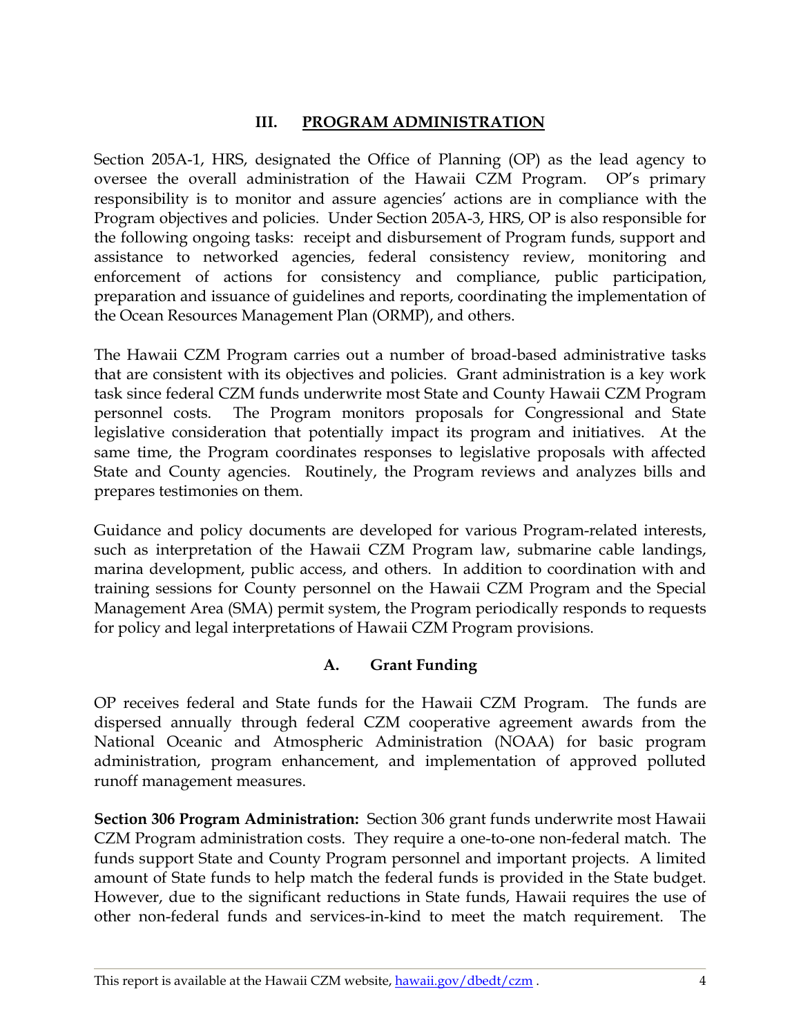# **III. PROGRAM ADMINISTRATION**

<span id="page-4-0"></span>Section 205A-1, HRS, designated the Office of Planning (OP) as the lead agency to oversee the overall administration of the Hawaii CZM Program. OP's primary responsibility is to monitor and assure agencies' actions are in compliance with the Program objectives and policies. Under Section 205A-3, HRS, OP is also responsible for the following ongoing tasks: receipt and disbursement of Program funds, support and assistance to networked agencies, federal consistency review, monitoring and enforcement of actions for consistency and compliance, public participation, preparation and issuance of guidelines and reports, coordinating the implementation of the Ocean Resources Management Plan (ORMP), and others.

The Hawaii CZM Program carries out a number of broad-based administrative tasks that are consistent with its objectives and policies. Grant administration is a key work task since federal CZM funds underwrite most State and County Hawaii CZM Program personnel costs. The Program monitors proposals for Congressional and State legislative consideration that potentially impact its program and initiatives. At the same time, the Program coordinates responses to legislative proposals with affected State and County agencies. Routinely, the Program reviews and analyzes bills and prepares testimonies on them.

Guidance and policy documents are developed for various Program-related interests, such as interpretation of the Hawaii CZM Program law, submarine cable landings, marina development, public access, and others. In addition to coordination with and training sessions for County personnel on the Hawaii CZM Program and the Special Management Area (SMA) permit system, the Program periodically responds to requests for policy and legal interpretations of Hawaii CZM Program provisions.

# **A. Grant Funding**

OP receives federal and State funds for the Hawaii CZM Program. The funds are dispersed annually through federal CZM cooperative agreement awards from the National Oceanic and Atmospheric Administration (NOAA) for basic program administration, program enhancement, and implementation of approved polluted runoff management measures.

**Section 306 Program Administration:** Section 306 grant funds underwrite most Hawaii CZM Program administration costs. They require a one-to-one non-federal match. The funds support State and County Program personnel and important projects. A limited amount of State funds to help match the federal funds is provided in the State budget. However, due to the significant reductions in State funds, Hawaii requires the use of other non-federal funds and services-in-kind to meet the match requirement. The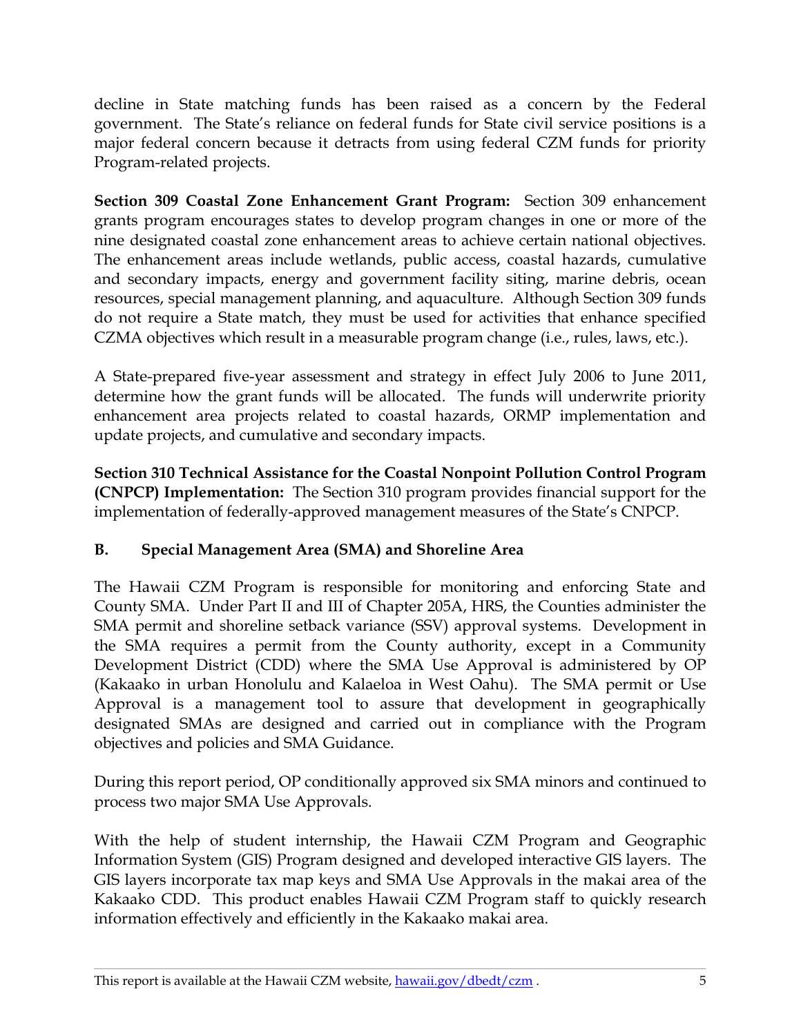<span id="page-5-0"></span>decline in State matching funds has been raised as a concern by the Federal government. The State's reliance on federal funds for State civil service positions is a major federal concern because it detracts from using federal CZM funds for priority Program-related projects.

**Section 309 Coastal Zone Enhancement Grant Program:** Section 309 enhancement grants program encourages states to develop program changes in one or more of the nine designated coastal zone enhancement areas to achieve certain national objectives. The enhancement areas include wetlands, public access, coastal hazards, cumulative and secondary impacts, energy and government facility siting, marine debris, ocean resources, special management planning, and aquaculture. Although Section 309 funds do not require a State match, they must be used for activities that enhance specified CZMA objectives which result in a measurable program change (i.e., rules, laws, etc.).

A State-prepared five-year assessment and strategy in effect July 2006 to June 2011, determine how the grant funds will be allocated. The funds will underwrite priority enhancement area projects related to coastal hazards, ORMP implementation and update projects, and cumulative and secondary impacts.

**Section 310 Technical Assistance for the Coastal Nonpoint Pollution Control Program (CNPCP) Implementation:** The Section 310 program provides financial support for the implementation of federally-approved management measures of the State's CNPCP.

# **B. Special Management Area (SMA) and Shoreline Area**

The Hawaii CZM Program is responsible for monitoring and enforcing State and County SMA. Under Part II and III of Chapter 205A, HRS, the Counties administer the SMA permit and shoreline setback variance (SSV) approval systems. Development in the SMA requires a permit from the County authority, except in a Community Development District (CDD) where the SMA Use Approval is administered by OP (Kakaako in urban Honolulu and Kalaeloa in West Oahu). The SMA permit or Use Approval is a management tool to assure that development in geographically designated SMAs are designed and carried out in compliance with the Program objectives and policies and SMA Guidance.

During this report period, OP conditionally approved six SMA minors and continued to process two major SMA Use Approvals.

With the help of student internship, the Hawaii CZM Program and Geographic Information System (GIS) Program designed and developed interactive GIS layers. The GIS layers incorporate tax map keys and SMA Use Approvals in the makai area of the Kakaako CDD. This product enables Hawaii CZM Program staff to quickly research information effectively and efficiently in the Kakaako makai area.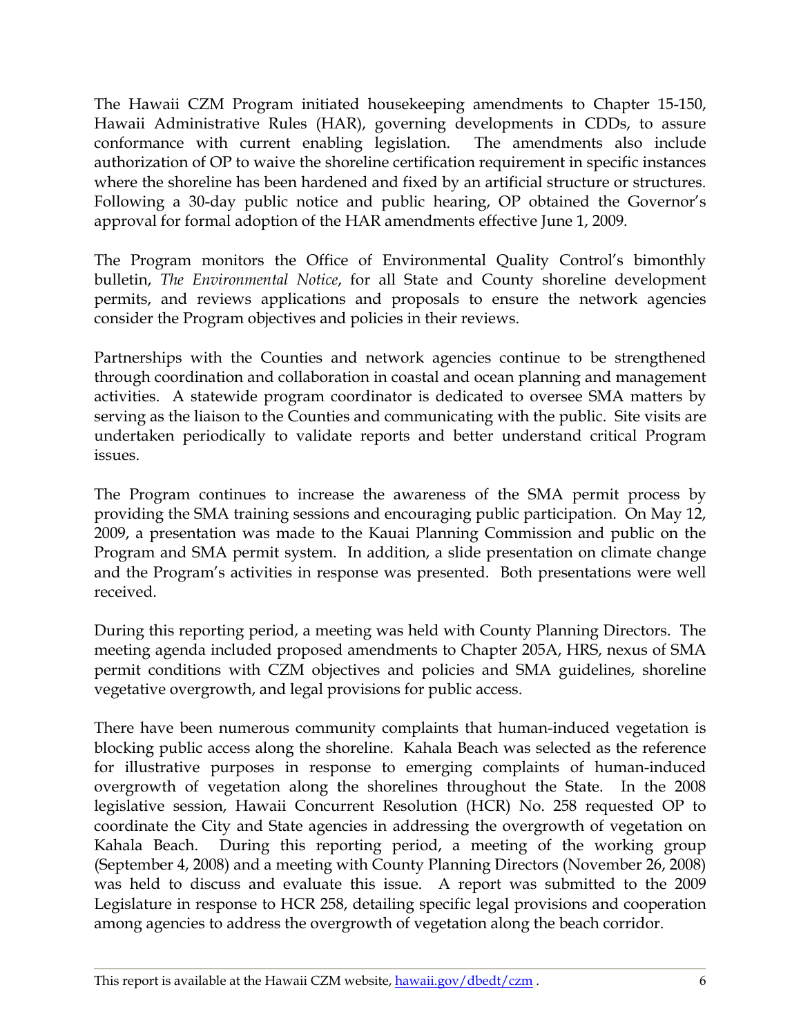The Hawaii CZM Program initiated housekeeping amendments to Chapter 15-150, Hawaii Administrative Rules (HAR), governing developments in CDDs, to assure conformance with current enabling legislation. The amendments also include authorization of OP to waive the shoreline certification requirement in specific instances where the shoreline has been hardened and fixed by an artificial structure or structures. Following a 30-day public notice and public hearing, OP obtained the Governor's approval for formal adoption of the HAR amendments effective June 1, 2009.

The Program monitors the Office of Environmental Quality Control's bimonthly bulletin, *The Environmental Notice*, for all State and County shoreline development permits, and reviews applications and proposals to ensure the network agencies consider the Program objectives and policies in their reviews.

Partnerships with the Counties and network agencies continue to be strengthened through coordination and collaboration in coastal and ocean planning and management activities. A statewide program coordinator is dedicated to oversee SMA matters by serving as the liaison to the Counties and communicating with the public. Site visits are undertaken periodically to validate reports and better understand critical Program issues.

The Program continues to increase the awareness of the SMA permit process by providing the SMA training sessions and encouraging public participation. On May 12, 2009, a presentation was made to the Kauai Planning Commission and public on the Program and SMA permit system. In addition, a slide presentation on climate change and the Program's activities in response was presented. Both presentations were well received.

During this reporting period, a meeting was held with County Planning Directors. The meeting agenda included proposed amendments to Chapter 205A, HRS, nexus of SMA permit conditions with CZM objectives and policies and SMA guidelines, shoreline vegetative overgrowth, and legal provisions for public access.

There have been numerous community complaints that human-induced vegetation is blocking public access along the shoreline. Kahala Beach was selected as the reference for illustrative purposes in response to emerging complaints of human-induced overgrowth of vegetation along the shorelines throughout the State. In the 2008 legislative session, Hawaii Concurrent Resolution (HCR) No. 258 requested OP to coordinate the City and State agencies in addressing the overgrowth of vegetation on Kahala Beach. During this reporting period, a meeting of the working group (September 4, 2008) and a meeting with County Planning Directors (November 26, 2008) was held to discuss and evaluate this issue. A report was submitted to the 2009 Legislature in response to HCR 258, detailing specific legal provisions and cooperation among agencies to address the overgrowth of vegetation along the beach corridor.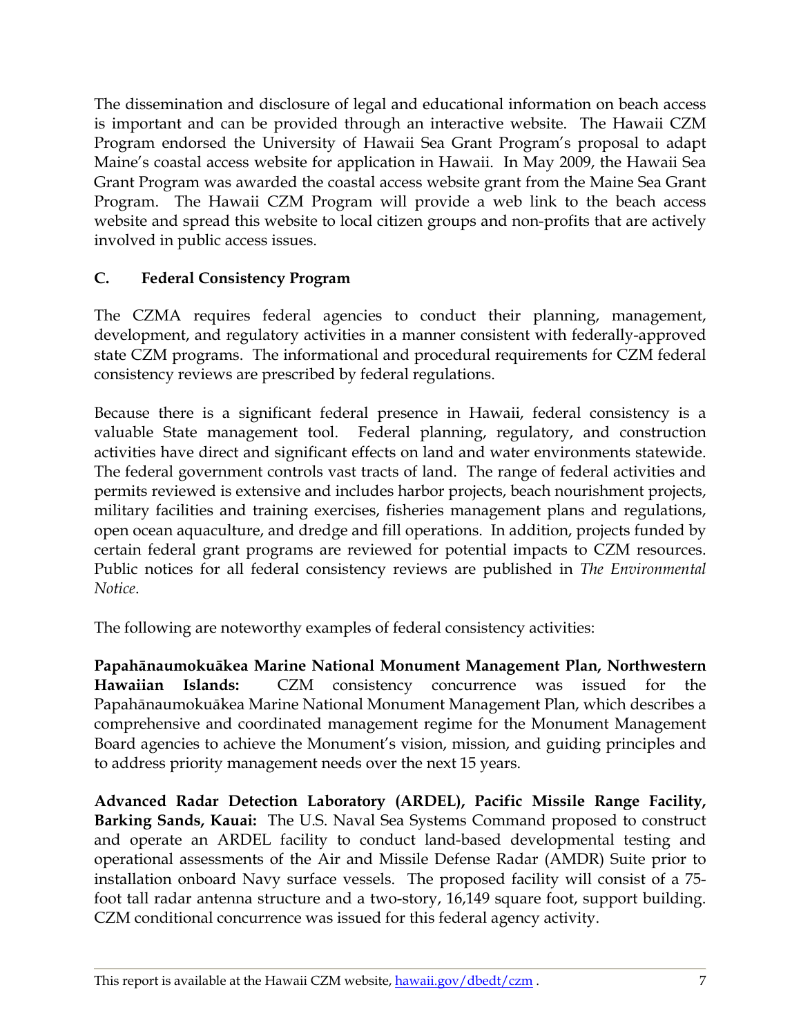<span id="page-7-0"></span>The dissemination and disclosure of legal and educational information on beach access is important and can be provided through an interactive website. The Hawaii CZM Program endorsed the University of Hawaii Sea Grant Program's proposal to adapt Maine's coastal access website for application in Hawaii. In May 2009, the Hawaii Sea Grant Program was awarded the coastal access website grant from the Maine Sea Grant Program. The Hawaii CZM Program will provide a web link to the beach access website and spread this website to local citizen groups and non-profits that are actively involved in public access issues.

# **C. Federal Consistency Program**

The CZMA requires federal agencies to conduct their planning, management, development, and regulatory activities in a manner consistent with federally-approved state CZM programs. The informational and procedural requirements for CZM federal consistency reviews are prescribed by federal regulations.

Because there is a significant federal presence in Hawaii, federal consistency is a valuable State management tool. Federal planning, regulatory, and construction activities have direct and significant effects on land and water environments statewide. The federal government controls vast tracts of land. The range of federal activities and permits reviewed is extensive and includes harbor projects, beach nourishment projects, military facilities and training exercises, fisheries management plans and regulations, open ocean aquaculture, and dredge and fill operations. In addition, projects funded by certain federal grant programs are reviewed for potential impacts to CZM resources. Public notices for all federal consistency reviews are published in *The Environmental Notice*.

The following are noteworthy examples of federal consistency activities:

**Papahānaumokuākea Marine National Monument Management Plan, Northwestern Hawaiian Islands:** CZM consistency concurrence was issued for the Papahānaumokuākea Marine National Monument Management Plan, which describes a comprehensive and coordinated management regime for the Monument Management Board agencies to achieve the Monument's vision, mission, and guiding principles and to address priority management needs over the next 15 years.

**Advanced Radar Detection Laboratory (ARDEL), Pacific Missile Range Facility, Barking Sands, Kauai:** The U.S. Naval Sea Systems Command proposed to construct and operate an ARDEL facility to conduct land-based developmental testing and operational assessments of the Air and Missile Defense Radar (AMDR) Suite prior to installation onboard Navy surface vessels. The proposed facility will consist of a 75 foot tall radar antenna structure and a two-story, 16,149 square foot, support building. CZM conditional concurrence was issued for this federal agency activity.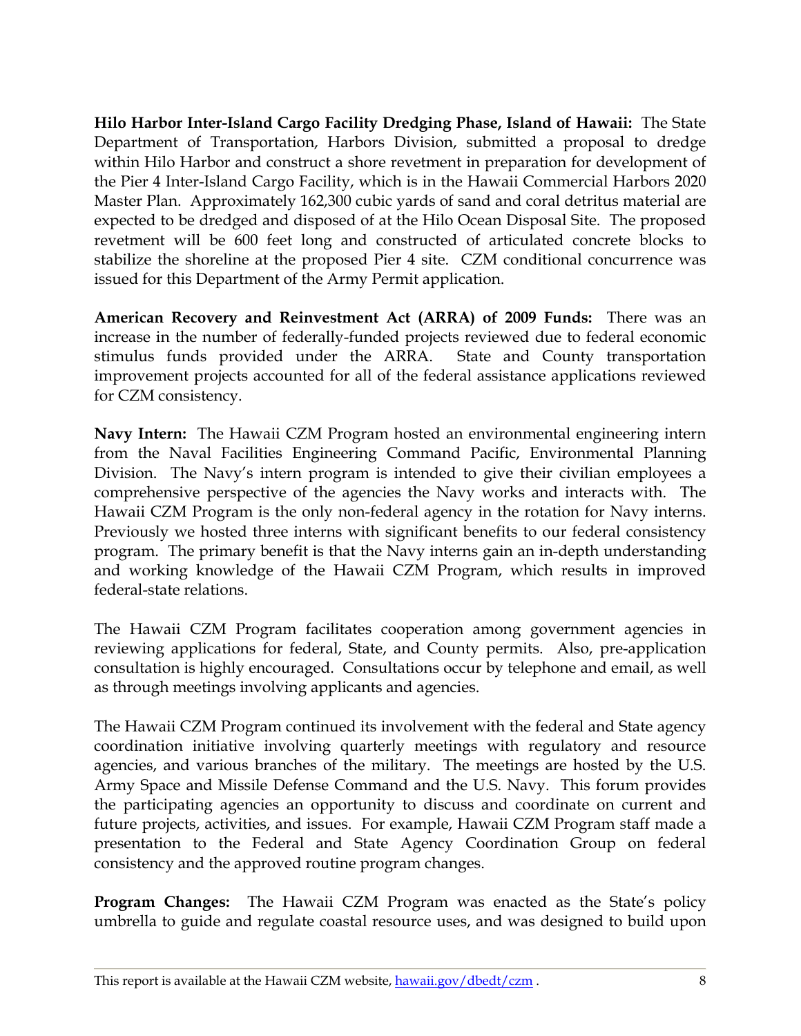**Hilo Harbor Inter-Island Cargo Facility Dredging Phase, Island of Hawaii:** The State Department of Transportation, Harbors Division, submitted a proposal to dredge within Hilo Harbor and construct a shore revetment in preparation for development of the Pier 4 Inter-Island Cargo Facility, which is in the Hawaii Commercial Harbors 2020 Master Plan. Approximately 162,300 cubic yards of sand and coral detritus material are expected to be dredged and disposed of at the Hilo Ocean Disposal Site. The proposed revetment will be 600 feet long and constructed of articulated concrete blocks to stabilize the shoreline at the proposed Pier 4 site. CZM conditional concurrence was issued for this Department of the Army Permit application.

**American Recovery and Reinvestment Act (ARRA) of 2009 Funds:** There was an increase in the number of federally-funded projects reviewed due to federal economic stimulus funds provided under the ARRA. State and County transportation improvement projects accounted for all of the federal assistance applications reviewed for CZM consistency.

**Navy Intern:** The Hawaii CZM Program hosted an environmental engineering intern from the Naval Facilities Engineering Command Pacific, Environmental Planning Division. The Navy's intern program is intended to give their civilian employees a comprehensive perspective of the agencies the Navy works and interacts with. The Hawaii CZM Program is the only non-federal agency in the rotation for Navy interns. Previously we hosted three interns with significant benefits to our federal consistency program. The primary benefit is that the Navy interns gain an in-depth understanding and working knowledge of the Hawaii CZM Program, which results in improved federal-state relations.

The Hawaii CZM Program facilitates cooperation among government agencies in reviewing applications for federal, State, and County permits. Also, pre-application consultation is highly encouraged. Consultations occur by telephone and email, as well as through meetings involving applicants and agencies.

The Hawaii CZM Program continued its involvement with the federal and State agency coordination initiative involving quarterly meetings with regulatory and resource agencies, and various branches of the military. The meetings are hosted by the U.S. Army Space and Missile Defense Command and the U.S. Navy. This forum provides the participating agencies an opportunity to discuss and coordinate on current and future projects, activities, and issues. For example, Hawaii CZM Program staff made a presentation to the Federal and State Agency Coordination Group on federal consistency and the approved routine program changes.

**Program Changes:** The Hawaii CZM Program was enacted as the State's policy umbrella to guide and regulate coastal resource uses, and was designed to build upon

This report is available at the Hawaii CZM website, hawaii.gov/dbedt/czm .  $\sim$  8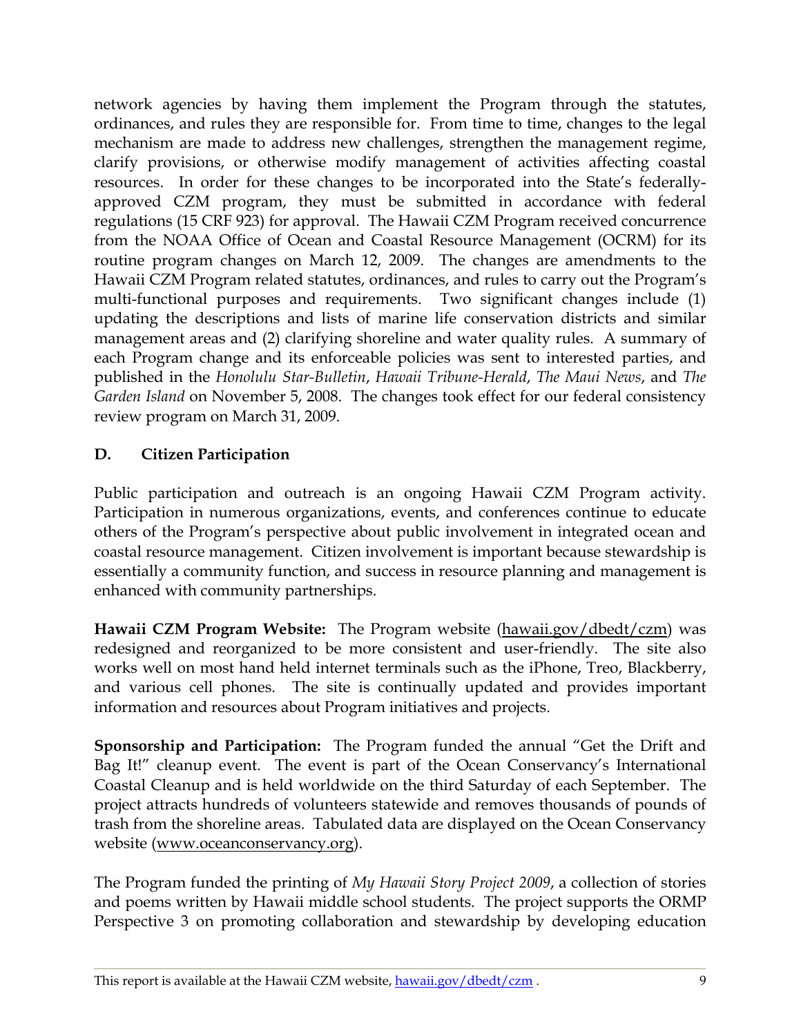<span id="page-9-0"></span>network agencies by having them implement the Program through the statutes, ordinances, and rules they are responsible for. From time to time, changes to the legal mechanism are made to address new challenges, strengthen the management regime, clarify provisions, or otherwise modify management of activities affecting coastal resources. In order for these changes to be incorporated into the State's federallyapproved CZM program, they must be submitted in accordance with federal regulations (15 CRF 923) for approval. The Hawaii CZM Program received concurrence from the NOAA Office of Ocean and Coastal Resource Management (OCRM) for its routine program changes on March 12, 2009. The changes are amendments to the Hawaii CZM Program related statutes, ordinances, and rules to carry out the Program's multi-functional purposes and requirements. Two significant changes include (1) updating the descriptions and lists of marine life conservation districts and similar management areas and (2) clarifying shoreline and water quality rules. A summary of each Program change and its enforceable policies was sent to interested parties, and published in the *Honolulu Star-Bulletin*, *Hawaii Tribune-Herald*, *The Maui News*, and *The Garden Island* on November 5, 2008. The changes took effect for our federal consistency review program on March 31, 2009.

# **D. Citizen Participation**

Public participation and outreach is an ongoing Hawaii CZM Program activity. Participation in numerous organizations, events, and conferences continue to educate others of the Program's perspective about public involvement in integrated ocean and coastal resource management. Citizen involvement is important because stewardship is essentially a community function, and success in resource planning and management is enhanced with community partnerships.

**Hawaii CZM Program Website:** The Program website ([hawaii.gov/dbedt/czm](http://hawaii.gov/dbedt/czm/)) was redesigned and reorganized to be more consistent and user-friendly. The site also works well on most hand held internet terminals such as the iPhone, Treo, Blackberry, and various cell phones. The site is continually updated and provides important information and resources about Program initiatives and projects.

**Sponsorship and Participation:** The Program funded the annual "Get the Drift and Bag It!" cleanup event. The event is part of the Ocean Conservancy's International Coastal Cleanup and is held worldwide on the third Saturday of each September. The project attracts hundreds of volunteers statewide and removes thousands of pounds of trash from the shoreline areas. Tabulated data are displayed on the Ocean Conservancy website ([www.oceanconservancy.org](http://www.oceanconservancy.org/)).

The Program funded the printing of *My Hawaii Story Project 2009*, a collection of stories and poems written by Hawaii middle school students. The project supports the ORMP Perspective 3 on promoting collaboration and stewardship by developing education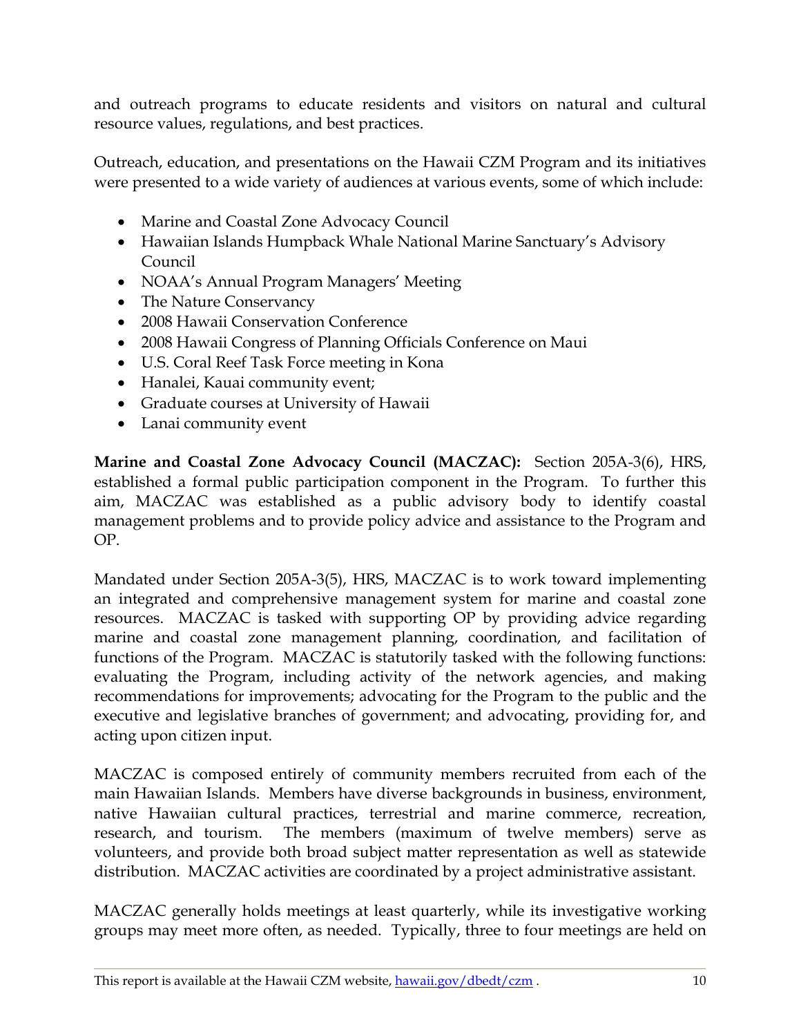and outreach programs to educate residents and visitors on natural and cultural resource values, regulations, and best practices.

Outreach, education, and presentations on the Hawaii CZM Program and its initiatives were presented to a wide variety of audiences at various events, some of which include:

- Marine and Coastal Zone Advocacy Council
- Hawaiian Islands Humpback Whale National Marine Sanctuary's Advisory Council
- NOAA's Annual Program Managers' Meeting
- The Nature Conservancy
- 2008 Hawaii Conservation Conference
- 2008 Hawaii Congress of Planning Officials Conference on Maui
- U.S. Coral Reef Task Force meeting in Kona
- Hanalei, Kauai community event;
- Graduate courses at University of Hawaii
- Lanai community event

**Marine and Coastal Zone Advocacy Council (MACZAC):** Section 205A-3(6), HRS, established a formal public participation component in the Program. To further this aim, MACZAC was established as a public advisory body to identify coastal management problems and to provide policy advice and assistance to the Program and OP.

Mandated under Section 205A-3(5), HRS, MACZAC is to work toward implementing an integrated and comprehensive management system for marine and coastal zone resources. MACZAC is tasked with supporting OP by providing advice regarding marine and coastal zone management planning, coordination, and facilitation of functions of the Program. MACZAC is statutorily tasked with the following functions: evaluating the Program, including activity of the network agencies, and making recommendations for improvements; advocating for the Program to the public and the executive and legislative branches of government; and advocating, providing for, and acting upon citizen input.

MACZAC is composed entirely of community members recruited from each of the main Hawaiian Islands. Members have diverse backgrounds in business, environment, native Hawaiian cultural practices, terrestrial and marine commerce, recreation, research, and tourism. The members (maximum of twelve members) serve as volunteers, and provide both broad subject matter representation as well as statewide distribution. MACZAC activities are coordinated by a project administrative assistant.

MACZAC generally holds meetings at least quarterly, while its investigative working groups may meet more often, as needed. Typically, three to four meetings are held on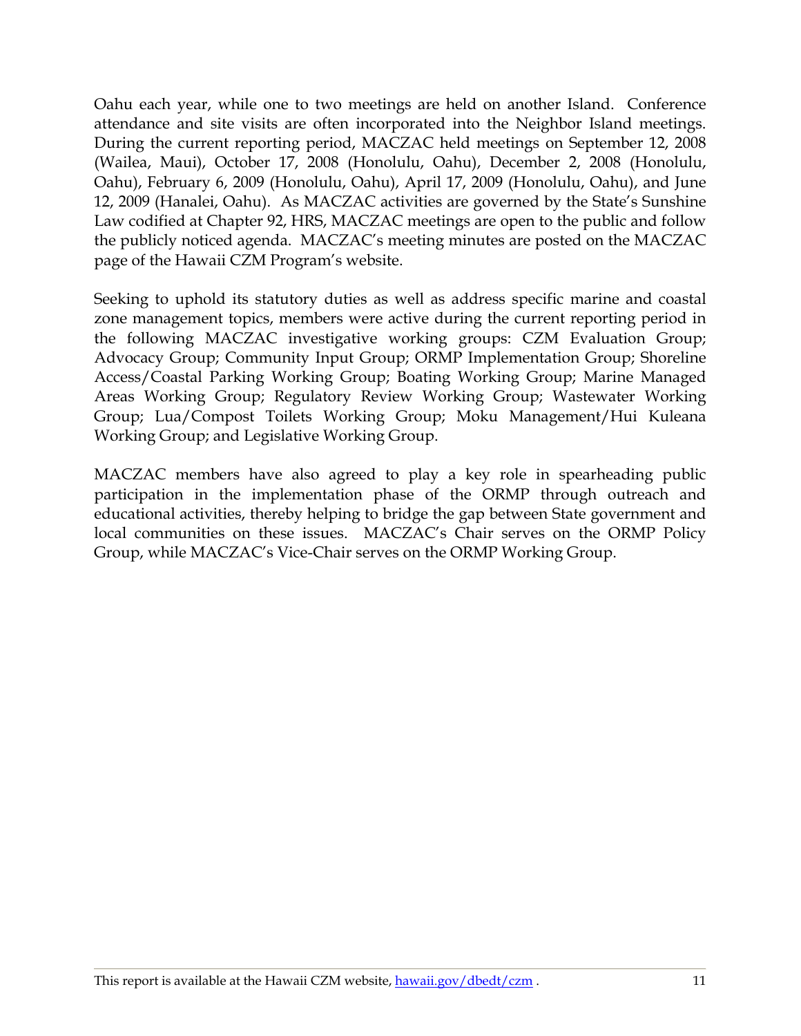Oahu each year, while one to two meetings are held on another Island. Conference attendance and site visits are often incorporated into the Neighbor Island meetings. During the current reporting period, MACZAC held meetings on September 12, 2008 (Wailea, Maui), October 17, 2008 (Honolulu, Oahu), December 2, 2008 (Honolulu, Oahu), February 6, 2009 (Honolulu, Oahu), April 17, 2009 (Honolulu, Oahu), and June 12, 2009 (Hanalei, Oahu). As MACZAC activities are governed by the State's Sunshine Law codified at Chapter 92, HRS, MACZAC meetings are open to the public and follow the publicly noticed agenda. MACZAC's meeting minutes are posted on the MACZAC page of the Hawaii CZM Program's website.

Seeking to uphold its statutory duties as well as address specific marine and coastal zone management topics, members were active during the current reporting period in the following MACZAC investigative working groups: CZM Evaluation Group; Advocacy Group; Community Input Group; ORMP Implementation Group; Shoreline Access/Coastal Parking Working Group; Boating Working Group; Marine Managed Areas Working Group; Regulatory Review Working Group; Wastewater Working Group; Lua/Compost Toilets Working Group; Moku Management/Hui Kuleana Working Group; and Legislative Working Group.

MACZAC members have also agreed to play a key role in spearheading public participation in the implementation phase of the ORMP through outreach and educational activities, thereby helping to bridge the gap between State government and local communities on these issues. MACZAC's Chair serves on the ORMP Policy Group, while MACZAC's Vice-Chair serves on the ORMP Working Group.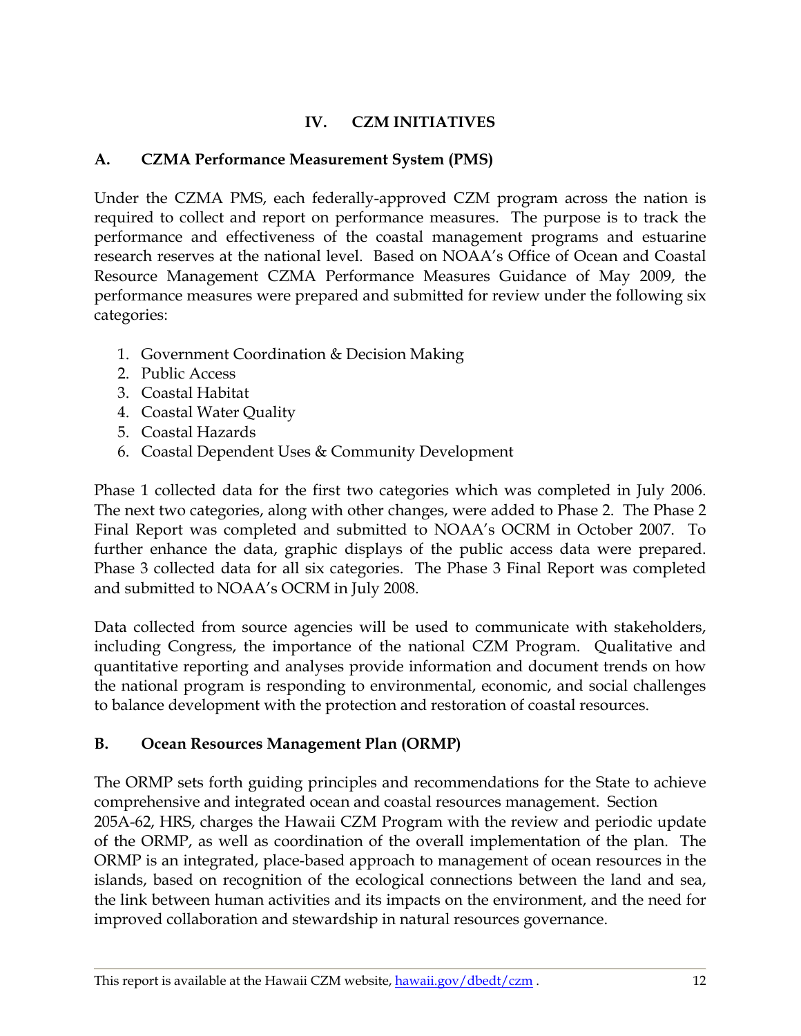# **IV. CZM INITIATIVES**

## <span id="page-12-0"></span>**A. CZMA Performance Measurement System (PMS)**

Under the CZMA PMS, each federally-approved CZM program across the nation is required to collect and report on performance measures. The purpose is to track the performance and effectiveness of the coastal management programs and estuarine research reserves at the national level. Based on NOAA's Office of Ocean and Coastal Resource Management CZMA Performance Measures Guidance of May 2009, the performance measures were prepared and submitted for review under the following six categories:

- 1. Government Coordination & Decision Making
- 2. Public Access
- 3. Coastal Habitat
- 4. Coastal Water Quality
- 5. Coastal Hazards
- 6. Coastal Dependent Uses & Community Development

Phase 1 collected data for the first two categories which was completed in July 2006. The next two categories, along with other changes, were added to Phase 2. The Phase 2 Final Report was completed and submitted to NOAA's OCRM in October 2007. To further enhance the data, graphic displays of the public access data were prepared. Phase 3 collected data for all six categories. The Phase 3 Final Report was completed and submitted to NOAA's OCRM in July 2008.

Data collected from source agencies will be used to communicate with stakeholders, including Congress, the importance of the national CZM Program. Qualitative and quantitative reporting and analyses provide information and document trends on how the national program is responding to environmental, economic, and social challenges to balance development with the protection and restoration of coastal resources.

# **B. Ocean Resources Management Plan (ORMP)**

The ORMP sets forth guiding principles and recommendations for the State to achieve comprehensive and integrated ocean and coastal resources management. Section 205A-62, HRS, charges the Hawaii CZM Program with the review and periodic update of the ORMP, as well as coordination of the overall implementation of the plan. The ORMP is an integrated, place-based approach to management of ocean resources in the islands, based on recognition of the ecological connections between the land and sea, the link between human activities and its impacts on the environment, and the need for improved collaboration and stewardship in natural resources governance.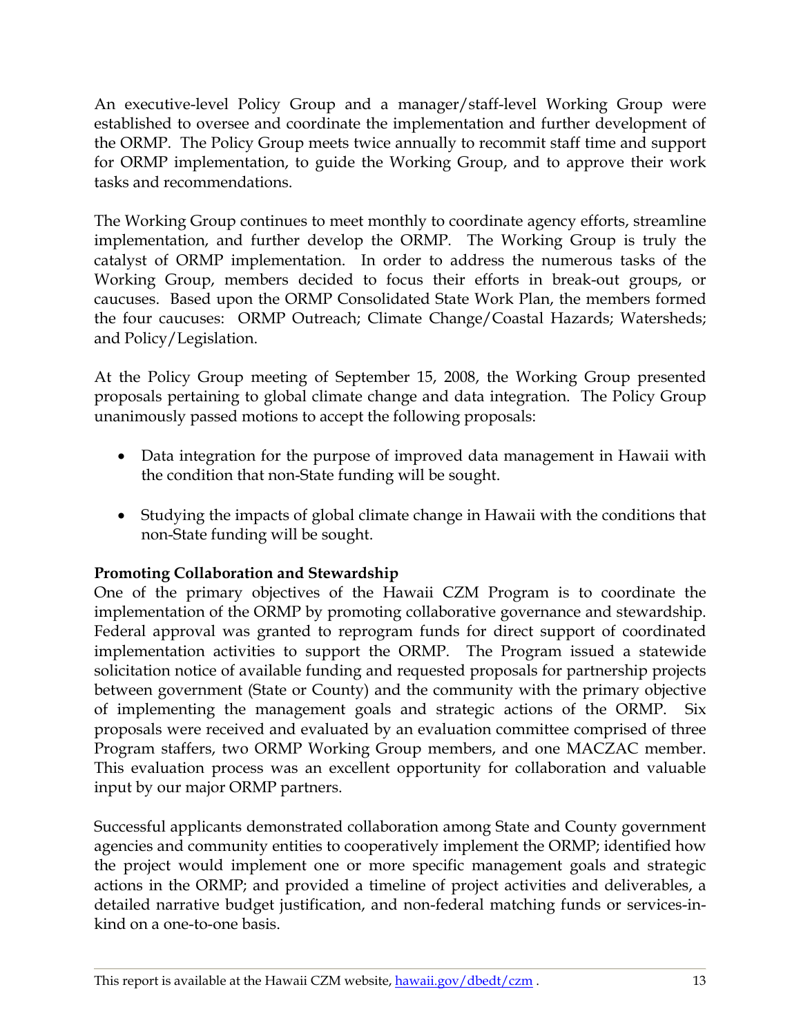An executive-level Policy Group and a manager/staff-level Working Group were established to oversee and coordinate the implementation and further development of the ORMP. The Policy Group meets twice annually to recommit staff time and support for ORMP implementation, to guide the Working Group, and to approve their work tasks and recommendations.

The Working Group continues to meet monthly to coordinate agency efforts, streamline implementation, and further develop the ORMP. The Working Group is truly the catalyst of ORMP implementation. In order to address the numerous tasks of the Working Group, members decided to focus their efforts in break-out groups, or caucuses. Based upon the ORMP Consolidated State Work Plan, the members formed the four caucuses: ORMP Outreach; Climate Change/Coastal Hazards; Watersheds; and Policy/Legislation.

At the Policy Group meeting of September 15, 2008, the Working Group presented proposals pertaining to global climate change and data integration. The Policy Group unanimously passed motions to accept the following proposals:

- Data integration for the purpose of improved data management in Hawaii with the condition that non-State funding will be sought.
- Studying the impacts of global climate change in Hawaii with the conditions that non-State funding will be sought.

# **Promoting Collaboration and Stewardship**

One of the primary objectives of the Hawaii CZM Program is to coordinate the implementation of the ORMP by promoting collaborative governance and stewardship. Federal approval was granted to reprogram funds for direct support of coordinated implementation activities to support the ORMP. The Program issued a statewide solicitation notice of available funding and requested proposals for partnership projects between government (State or County) and the community with the primary objective of implementing the management goals and strategic actions of the ORMP. Six proposals were received and evaluated by an evaluation committee comprised of three Program staffers, two ORMP Working Group members, and one MACZAC member. This evaluation process was an excellent opportunity for collaboration and valuable input by our major ORMP partners.

Successful applicants demonstrated collaboration among State and County government agencies and community entities to cooperatively implement the ORMP; identified how the project would implement one or more specific management goals and strategic actions in the ORMP; and provided a timeline of project activities and deliverables, a detailed narrative budget justification, and non-federal matching funds or services-inkind on a one-to-one basis.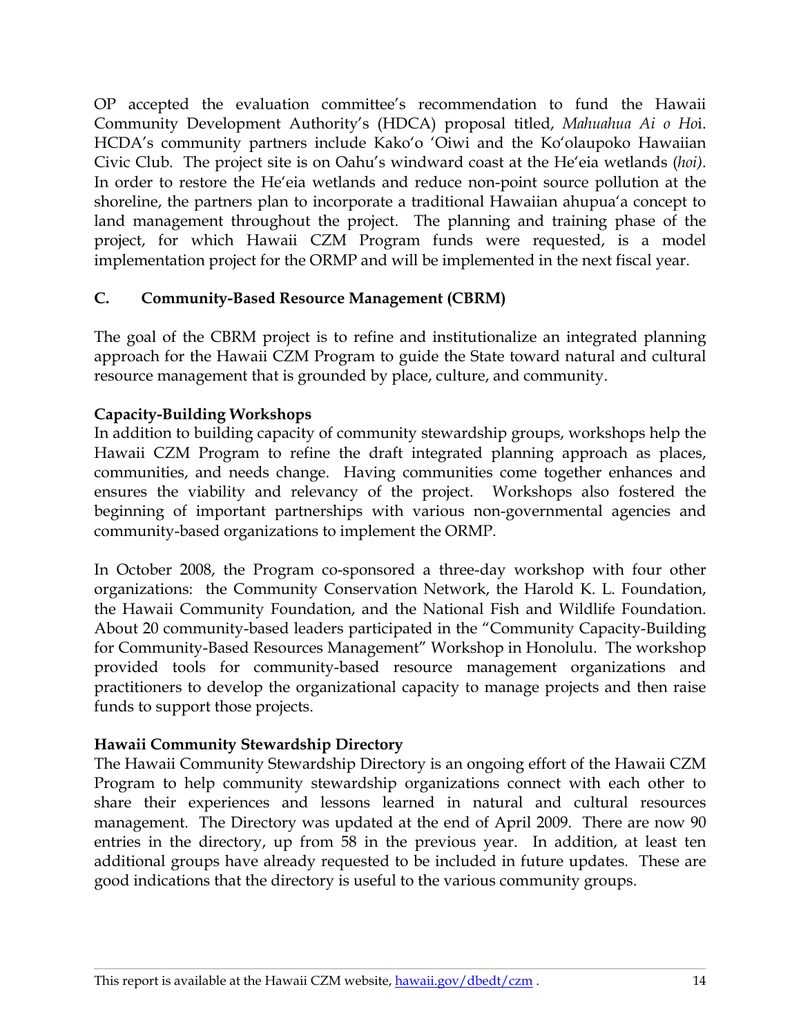<span id="page-14-0"></span>OP accepted the evaluation committee's recommendation to fund the Hawaii Community Development Authority's (HDCA) proposal titled, *Mahuahua Ai o Ho*i. HCDA's community partners include Kako'o 'Oiwi and the Ko'olaupoko Hawaiian Civic Club. The project site is on Oahu's windward coast at the He'eia wetlands (*hoi)*. In order to restore the He'eia wetlands and reduce non-point source pollution at the shoreline, the partners plan to incorporate a traditional Hawaiian ahupua'a concept to land management throughout the project. The planning and training phase of the project, for which Hawaii CZM Program funds were requested, is a model implementation project for the ORMP and will be implemented in the next fiscal year.

## **C. Community-Based Resource Management (CBRM)**

The goal of the CBRM project is to refine and institutionalize an integrated planning approach for the Hawaii CZM Program to guide the State toward natural and cultural resource management that is grounded by place, culture, and community.

## **Capacity-Building Workshops**

In addition to building capacity of community stewardship groups, workshops help the Hawaii CZM Program to refine the draft integrated planning approach as places, communities, and needs change. Having communities come together enhances and ensures the viability and relevancy of the project. Workshops also fostered the beginning of important partnerships with various non-governmental agencies and community-based organizations to implement the ORMP.

In October 2008, the Program co-sponsored a three-day workshop with four other organizations: the Community Conservation Network, the Harold K. L. Foundation, the Hawaii Community Foundation, and the National Fish and Wildlife Foundation. About 20 community-based leaders participated in the "Community Capacity-Building for Community-Based Resources Management" Workshop in Honolulu. The workshop provided tools for community-based resource management organizations and practitioners to develop the organizational capacity to manage projects and then raise funds to support those projects.

# **Hawaii Community Stewardship Directory**

The Hawaii Community Stewardship Directory is an ongoing effort of the Hawaii CZM Program to help community stewardship organizations connect with each other to share their experiences and lessons learned in natural and cultural resources management. The Directory was updated at the end of April 2009. There are now 90 entries in the directory, up from 58 in the previous year. In addition, at least ten additional groups have already requested to be included in future updates. These are good indications that the directory is useful to the various community groups.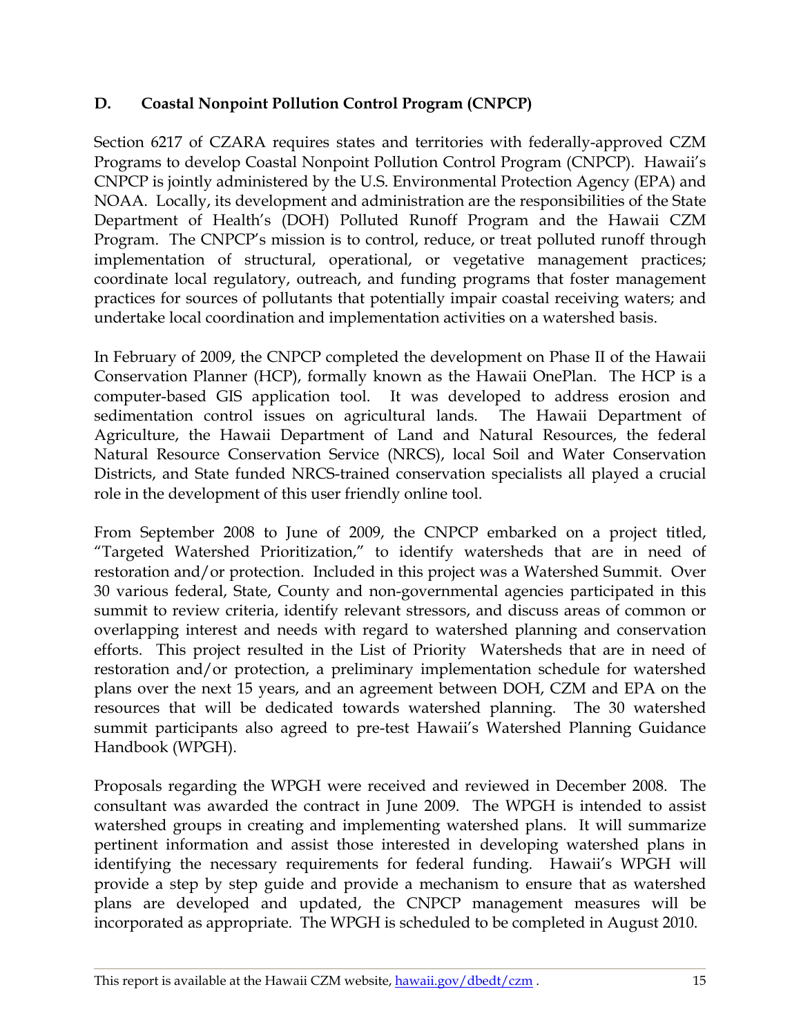# <span id="page-15-0"></span>**D. Coastal Nonpoint Pollution Control Program (CNPCP)**

Section 6217 of CZARA requires states and territories with federally-approved CZM Programs to develop Coastal Nonpoint Pollution Control Program (CNPCP). Hawaii's CNPCP is jointly administered by the U.S. Environmental Protection Agency (EPA) and NOAA. Locally, its development and administration are the responsibilities of the State Department of Health's (DOH) Polluted Runoff Program and the Hawaii CZM Program. The CNPCP's mission is to control, reduce, or treat polluted runoff through implementation of structural, operational, or vegetative management practices; coordinate local regulatory, outreach, and funding programs that foster management practices for sources of pollutants that potentially impair coastal receiving waters; and undertake local coordination and implementation activities on a watershed basis.

In February of 2009, the CNPCP completed the development on Phase II of the Hawaii Conservation Planner (HCP), formally known as the Hawaii OnePlan. The HCP is a computer-based GIS application tool. It was developed to address erosion and sedimentation control issues on agricultural lands. The Hawaii Department of Agriculture, the Hawaii Department of Land and Natural Resources, the federal Natural Resource Conservation Service (NRCS), local Soil and Water Conservation Districts, and State funded NRCS-trained conservation specialists all played a crucial role in the development of this user friendly online tool.

From September 2008 to June of 2009, the CNPCP embarked on a project titled, "Targeted Watershed Prioritization," to identify watersheds that are in need of restoration and/or protection. Included in this project was a Watershed Summit. Over 30 various federal, State, County and non-governmental agencies participated in this summit to review criteria, identify relevant stressors, and discuss areas of common or overlapping interest and needs with regard to watershed planning and conservation efforts. This project resulted in the List of Priority Watersheds that are in need of restoration and/or protection, a preliminary implementation schedule for watershed plans over the next 15 years, and an agreement between DOH, CZM and EPA on the resources that will be dedicated towards watershed planning. The 30 watershed summit participants also agreed to pre-test Hawaii's Watershed Planning Guidance Handbook (WPGH).

Proposals regarding the WPGH were received and reviewed in December 2008. The consultant was awarded the contract in June 2009. The WPGH is intended to assist watershed groups in creating and implementing watershed plans. It will summarize pertinent information and assist those interested in developing watershed plans in identifying the necessary requirements for federal funding. Hawaii's WPGH will provide a step by step guide and provide a mechanism to ensure that as watershed plans are developed and updated, the CNPCP management measures will be incorporated as appropriate. The WPGH is scheduled to be completed in August 2010.

This report is available at the Hawaii CZM website, hawaii.gov/dbedt/czm . 15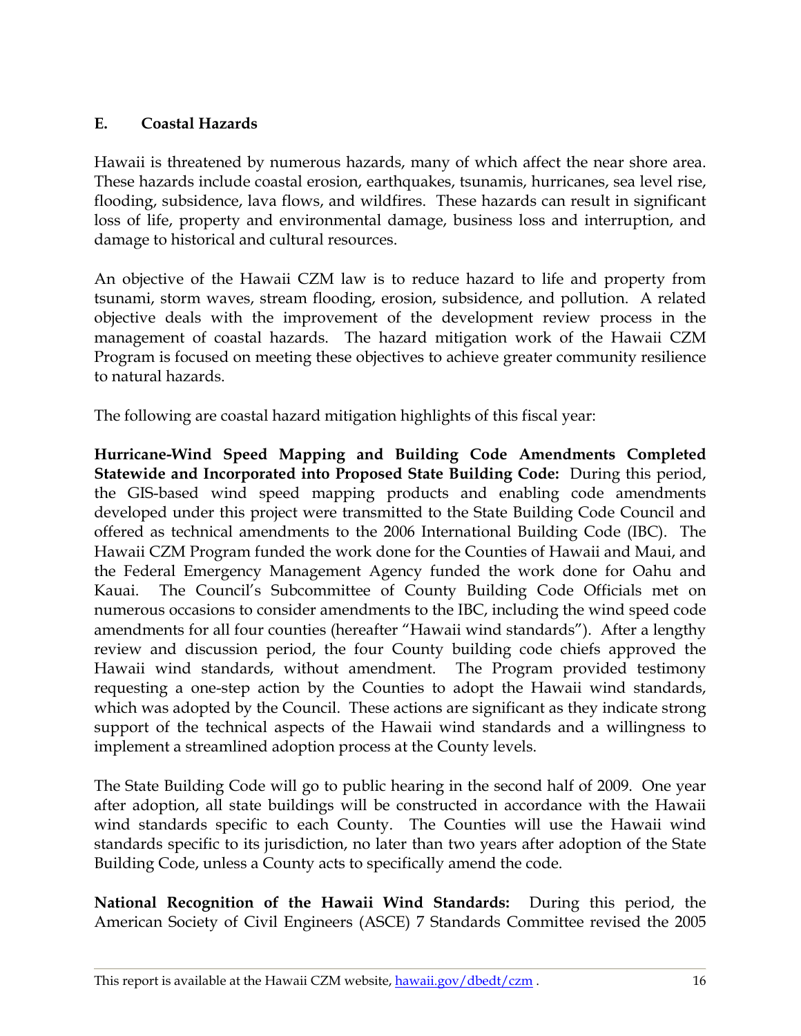## <span id="page-16-0"></span>**E. Coastal Hazards**

Hawaii is threatened by numerous hazards, many of which affect the near shore area. These hazards include coastal erosion, earthquakes, tsunamis, hurricanes, sea level rise, flooding, subsidence, lava flows, and wildfires. These hazards can result in significant loss of life, property and environmental damage, business loss and interruption, and damage to historical and cultural resources.

An objective of the Hawaii CZM law is to reduce hazard to life and property from tsunami, storm waves, stream flooding, erosion, subsidence, and pollution. A related objective deals with the improvement of the development review process in the management of coastal hazards. The hazard mitigation work of the Hawaii CZM Program is focused on meeting these objectives to achieve greater community resilience to natural hazards.

The following are coastal hazard mitigation highlights of this fiscal year:

**Hurricane-Wind Speed Mapping and Building Code Amendments Completed Statewide and Incorporated into Proposed State Building Code:** During this period, the GIS-based wind speed mapping products and enabling code amendments developed under this project were transmitted to the State Building Code Council and offered as technical amendments to the 2006 International Building Code (IBC). The Hawaii CZM Program funded the work done for the Counties of Hawaii and Maui, and the Federal Emergency Management Agency funded the work done for Oahu and Kauai. The Council's Subcommittee of County Building Code Officials met on numerous occasions to consider amendments to the IBC, including the wind speed code amendments for all four counties (hereafter "Hawaii wind standards"). After a lengthy review and discussion period, the four County building code chiefs approved the Hawaii wind standards, without amendment. The Program provided testimony requesting a one-step action by the Counties to adopt the Hawaii wind standards, which was adopted by the Council. These actions are significant as they indicate strong support of the technical aspects of the Hawaii wind standards and a willingness to implement a streamlined adoption process at the County levels.

The State Building Code will go to public hearing in the second half of 2009. One year after adoption, all state buildings will be constructed in accordance with the Hawaii wind standards specific to each County. The Counties will use the Hawaii wind standards specific to its jurisdiction, no later than two years after adoption of the State Building Code, unless a County acts to specifically amend the code.

**National Recognition of the Hawaii Wind Standards:** During this period, the American Society of Civil Engineers (ASCE) 7 Standards Committee revised the 2005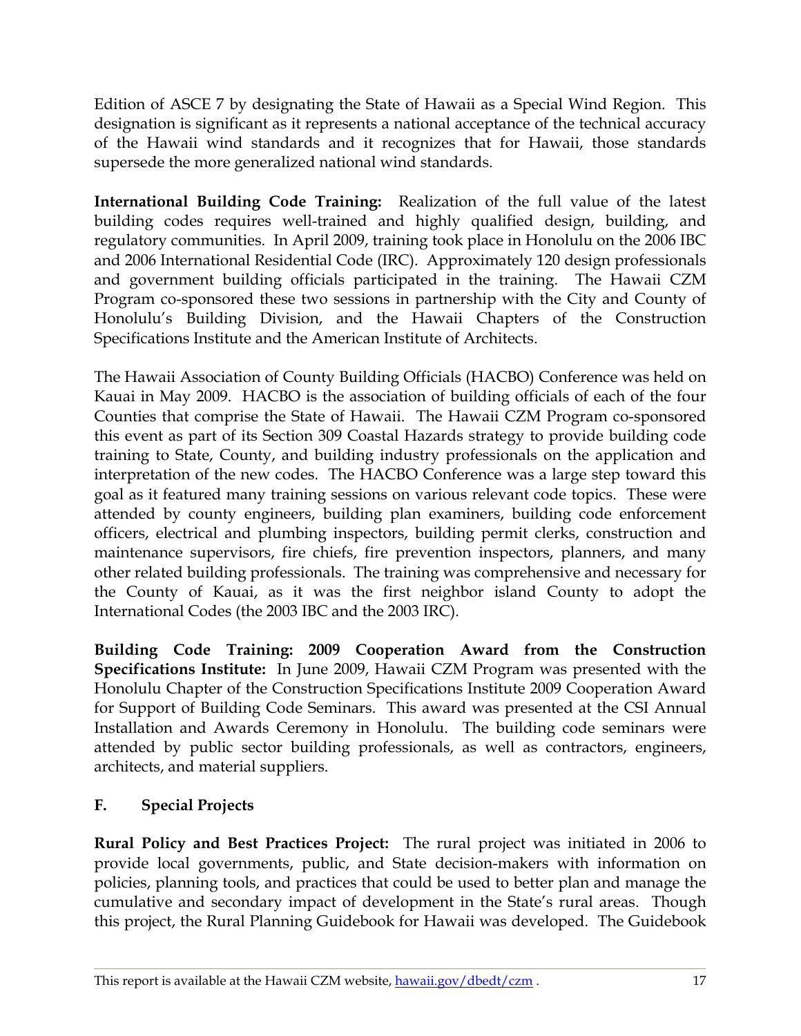<span id="page-17-0"></span>Edition of ASCE 7 by designating the State of Hawaii as a Special Wind Region. This designation is significant as it represents a national acceptance of the technical accuracy of the Hawaii wind standards and it recognizes that for Hawaii, those standards supersede the more generalized national wind standards.

**International Building Code Training:** Realization of the full value of the latest building codes requires well-trained and highly qualified design, building, and regulatory communities. In April 2009, training took place in Honolulu on the 2006 IBC and 2006 International Residential Code (IRC). Approximately 120 design professionals and government building officials participated in the training. The Hawaii CZM Program co-sponsored these two sessions in partnership with the City and County of Honolulu's Building Division, and the Hawaii Chapters of the Construction Specifications Institute and the American Institute of Architects.

The Hawaii Association of County Building Officials (HACBO) Conference was held on Kauai in May 2009. HACBO is the association of building officials of each of the four Counties that comprise the State of Hawaii. The Hawaii CZM Program co-sponsored this event as part of its Section 309 Coastal Hazards strategy to provide building code training to State, County, and building industry professionals on the application and interpretation of the new codes. The HACBO Conference was a large step toward this goal as it featured many training sessions on various relevant code topics. These were attended by county engineers, building plan examiners, building code enforcement officers, electrical and plumbing inspectors, building permit clerks, construction and maintenance supervisors, fire chiefs, fire prevention inspectors, planners, and many other related building professionals. The training was comprehensive and necessary for the County of Kauai, as it was the first neighbor island County to adopt the International Codes (the 2003 IBC and the 2003 IRC).

**Building Code Training: 2009 Cooperation Award from the Construction Specifications Institute:** In June 2009, Hawaii CZM Program was presented with the Honolulu Chapter of the Construction Specifications Institute 2009 Cooperation Award for Support of Building Code Seminars. This award was presented at the CSI Annual Installation and Awards Ceremony in Honolulu. The building code seminars were attended by public sector building professionals, as well as contractors, engineers, architects, and material suppliers.

# **F. Special Projects**

**Rural Policy and Best Practices Project:** The rural project was initiated in 2006 to provide local governments, public, and State decision-makers with information on policies, planning tools, and practices that could be used to better plan and manage the cumulative and secondary impact of development in the State's rural areas. Though this project, the Rural Planning Guidebook for Hawaii was developed. The Guidebook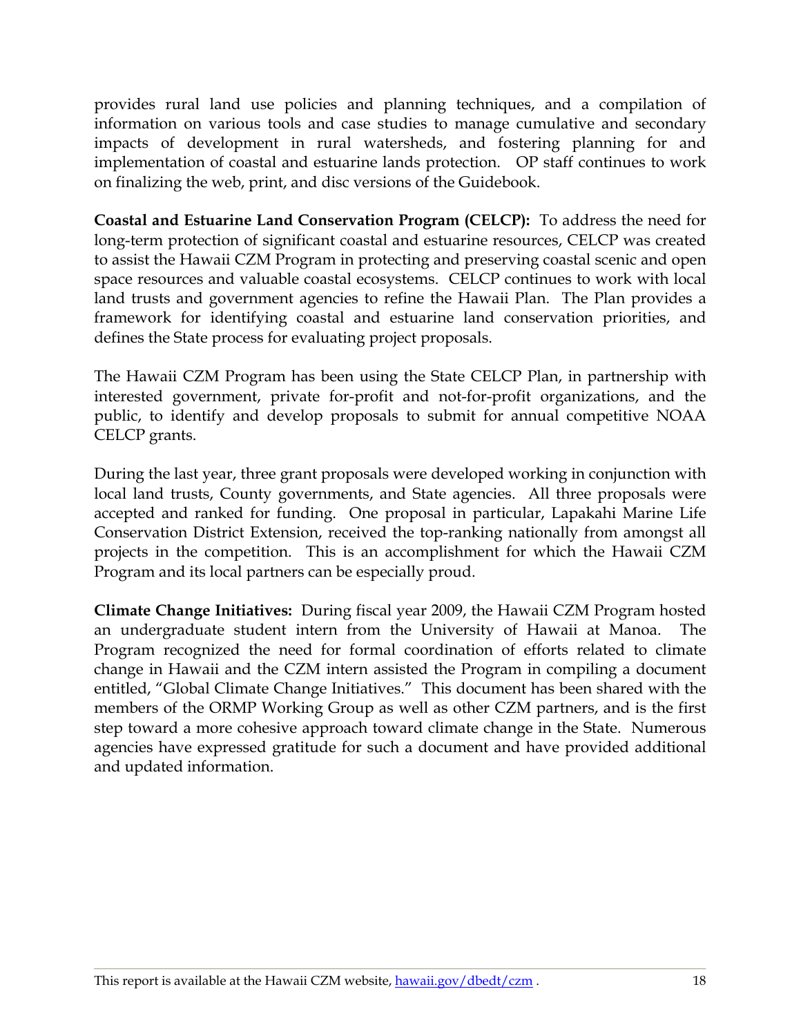provides rural land use policies and planning techniques, and a compilation of information on various tools and case studies to manage cumulative and secondary impacts of development in rural watersheds, and fostering planning for and implementation of coastal and estuarine lands protection. OP staff continues to work on finalizing the web, print, and disc versions of the Guidebook.

**Coastal and Estuarine Land Conservation Program (CELCP):** To address the need for long-term protection of significant coastal and estuarine resources, CELCP was created to assist the Hawaii CZM Program in protecting and preserving coastal scenic and open space resources and valuable coastal ecosystems. CELCP continues to work with local land trusts and government agencies to refine the Hawaii Plan. The Plan provides a framework for identifying coastal and estuarine land conservation priorities, and defines the State process for evaluating project proposals.

The Hawaii CZM Program has been using the State CELCP Plan, in partnership with interested government, private for-profit and not-for-profit organizations, and the public, to identify and develop proposals to submit for annual competitive NOAA CELCP grants.

During the last year, three grant proposals were developed working in conjunction with local land trusts, County governments, and State agencies. All three proposals were accepted and ranked for funding. One proposal in particular, Lapakahi Marine Life Conservation District Extension, received the top-ranking nationally from amongst all projects in the competition. This is an accomplishment for which the Hawaii CZM Program and its local partners can be especially proud.

**Climate Change Initiatives:** During fiscal year 2009, the Hawaii CZM Program hosted an undergraduate student intern from the University of Hawaii at Manoa. The Program recognized the need for formal coordination of efforts related to climate change in Hawaii and the CZM intern assisted the Program in compiling a document entitled, "Global Climate Change Initiatives." This document has been shared with the members of the ORMP Working Group as well as other CZM partners, and is the first step toward a more cohesive approach toward climate change in the State. Numerous agencies have expressed gratitude for such a document and have provided additional and updated information.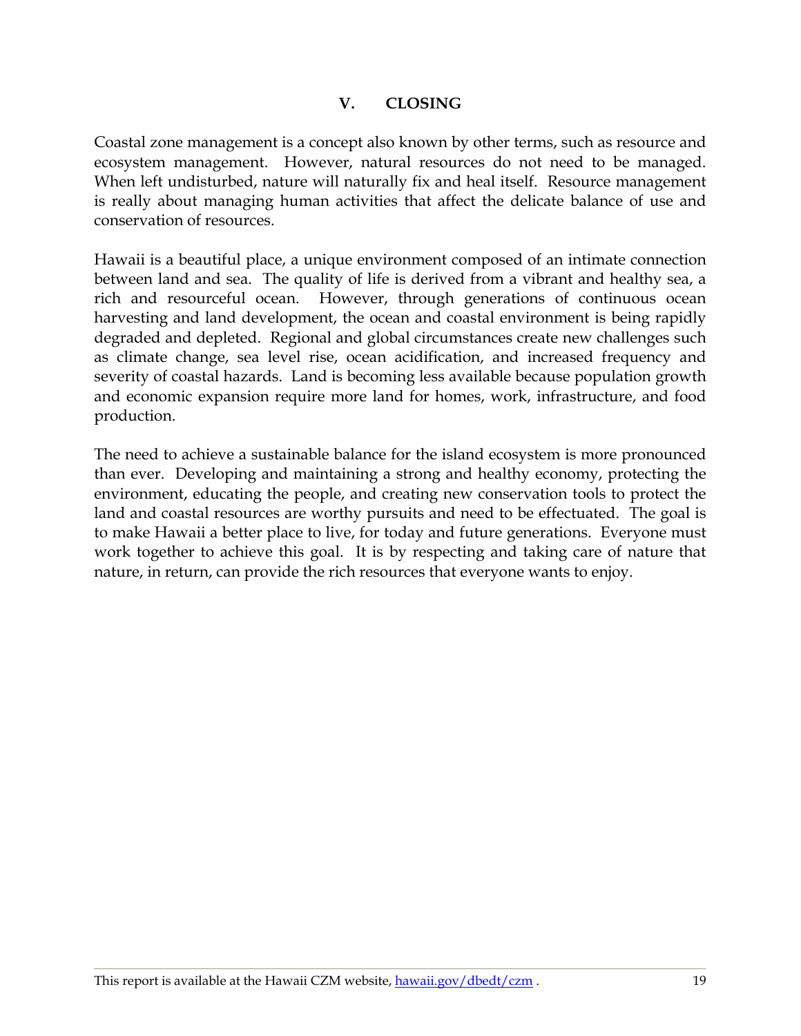#### **V. CLOSING**

<span id="page-19-0"></span>Coastal zone management is a concept also known by other terms, such as resource and ecosystem management. However, natural resources do not need to be managed. When left undisturbed, nature will naturally fix and heal itself. Resource management is really about managing human activities that affect the delicate balance of use and conservation of resources.

Hawaii is a beautiful place, a unique environment composed of an intimate connection between land and sea. The quality of life is derived from a vibrant and healthy sea, a rich and resourceful ocean. However, through generations of continuous ocean harvesting and land development, the ocean and coastal environment is being rapidly degraded and depleted. Regional and global circumstances create new challenges such as climate change, sea level rise, ocean acidification, and increased frequency and severity of coastal hazards. Land is becoming less available because population growth and economic expansion require more land for homes, work, infrastructure, and food production.

The need to achieve a sustainable balance for the island ecosystem is more pronounced than ever. Developing and maintaining a strong and healthy economy, protecting the environment, educating the people, and creating new conservation tools to protect the land and coastal resources are worthy pursuits and need to be effectuated. The goal is to make Hawaii a better place to live, for today and future generations. Everyone must work together to achieve this goal. It is by respecting and taking care of nature that nature, in return, can provide the rich resources that everyone wants to enjoy.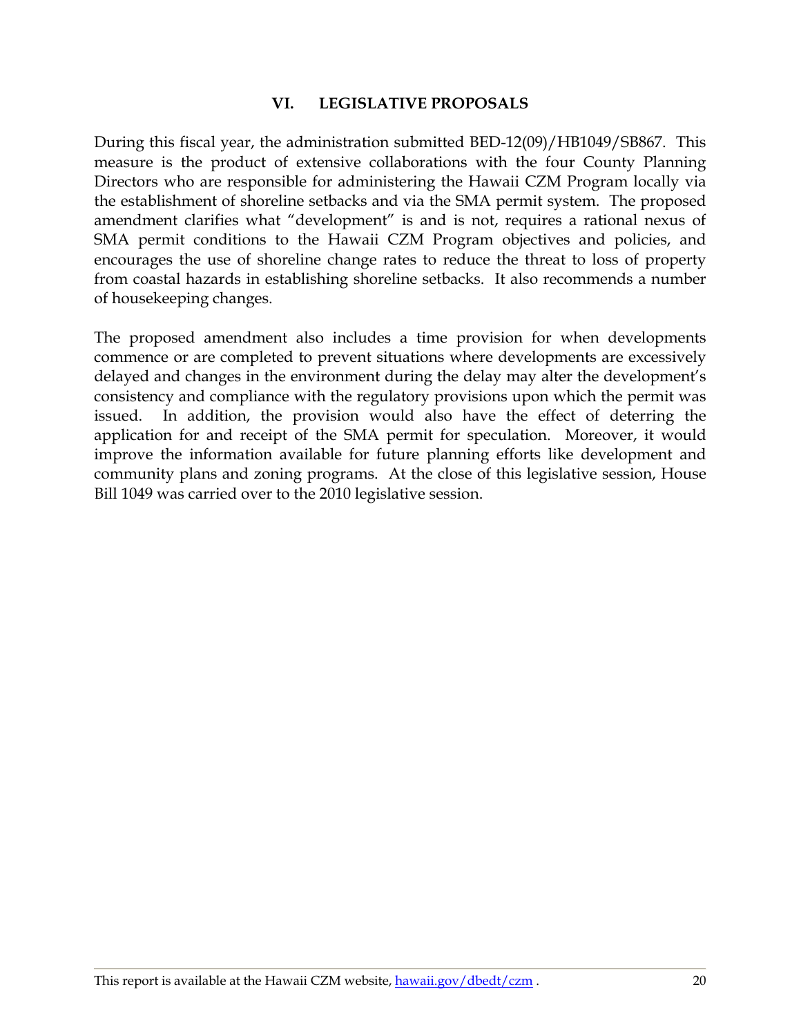#### **VI. LEGISLATIVE PROPOSALS**

<span id="page-20-0"></span>During this fiscal year, the administration submitted BED-12(09)/HB1049/SB867. This measure is the product of extensive collaborations with the four County Planning Directors who are responsible for administering the Hawaii CZM Program locally via the establishment of shoreline setbacks and via the SMA permit system. The proposed amendment clarifies what "development" is and is not, requires a rational nexus of SMA permit conditions to the Hawaii CZM Program objectives and policies, and encourages the use of shoreline change rates to reduce the threat to loss of property from coastal hazards in establishing shoreline setbacks. It also recommends a number of housekeeping changes.

The proposed amendment also includes a time provision for when developments commence or are completed to prevent situations where developments are excessively delayed and changes in the environment during the delay may alter the development's consistency and compliance with the regulatory provisions upon which the permit was issued. In addition, the provision would also have the effect of deterring the application for and receipt of the SMA permit for speculation. Moreover, it would improve the information available for future planning efforts like development and community plans and zoning programs. At the close of this legislative session, House Bill 1049 was carried over to the 2010 legislative session.